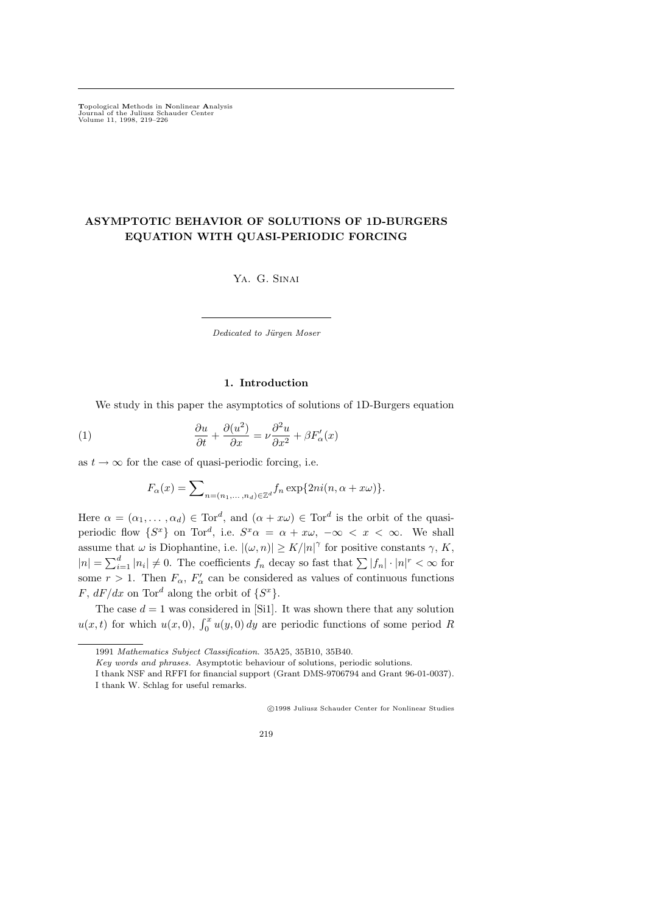Topological Methods in Nonlinear Analysis Journal of the Juliusz Schauder Center Volume 11, 1998, 219–226

# ASYMPTOTIC BEHAVIOR OF SOLUTIONS OF 1D-BURGERS EQUATION WITH QUASI-PERIODIC FORCING

Ya. G. Sinai

Dedicated to Jürgen Moser

### 1. Introduction

We study in this paper the asymptotics of solutions of 1D-Burgers equation

(1) 
$$
\frac{\partial u}{\partial t} + \frac{\partial (u^2)}{\partial x} = \nu \frac{\partial^2 u}{\partial x^2} + \beta F'_\alpha(x)
$$

as  $t \to \infty$  for the case of quasi-periodic forcing, i.e.

$$
F_{\alpha}(x) = \sum\nolimits_{n=(n_1,\ldots,n_d)\in\mathbb{Z}^d} f_n \exp\{2ni(n,\alpha+x\omega)\}.
$$

Here  $\alpha = (\alpha_1, \dots, \alpha_d) \in \text{Tor}^d$ , and  $(\alpha + x\omega) \in \text{Tor}^d$  is the orbit of the quasiperiodic flow  $\{S^x\}$  on Tor<sup>d</sup>, i.e.  $S^x\alpha = \alpha + x\omega$ ,  $-\infty < x < \infty$ . We shall assume that  $\omega$  is Diophantine, i.e.  $|(\omega, n)| \ge K/|n|^\gamma$  for positive constants  $\gamma$ , K,  $|n| = \sum_{i=1}^d |n_i| \neq 0$ . The coefficients  $f_n$  decay so fast that  $\sum |f_n| \cdot |n|^r < \infty$  for some  $r > 1$ . Then  $F_{\alpha}$ ,  $F'_{\alpha}$  can be considered as values of continuous functions F,  $dF/dx$  on Tor<sup>d</sup> along the orbit of  $\{S^x\}$ .

The case  $d = 1$  was considered in [Si1]. It was shown there that any solution  $u(x,t)$  for which  $u(x,0)$ ,  $\int_0^x u(y,0) dy$  are periodic functions of some period R

c 1998 Juliusz Schauder Center for Nonlinear Studies

219

<sup>1991</sup> Mathematics Subject Classification. 35A25, 35B10, 35B40.

Key words and phrases. Asymptotic behaviour of solutions, periodic solutions.

I thank NSF and RFFI for financial support (Grant DMS-9706794 and Grant 96-01-0037). I thank W. Schlag for useful remarks.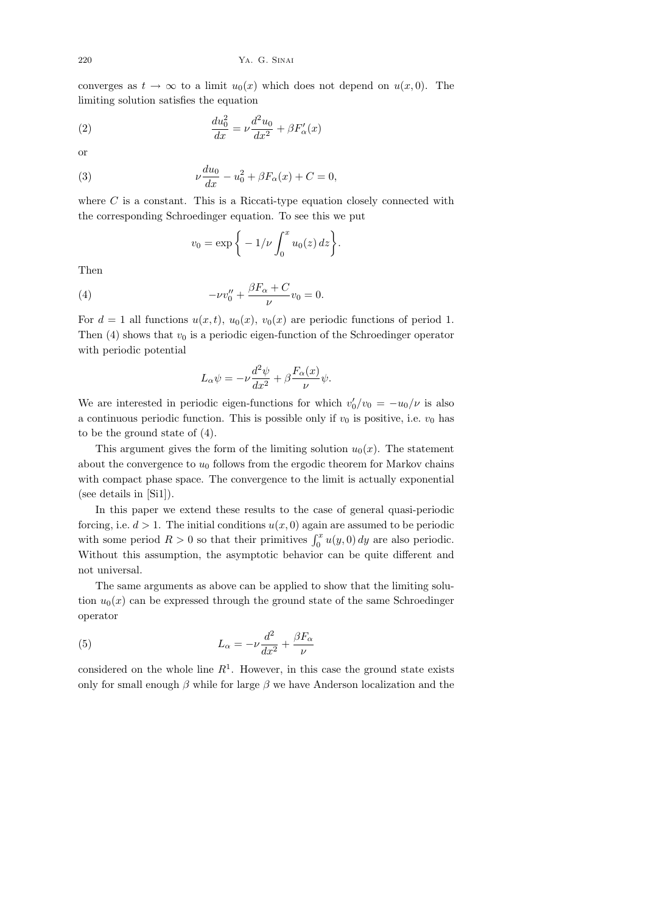converges as  $t \to \infty$  to a limit  $u_0(x)$  which does not depend on  $u(x, 0)$ . The limiting solution satisfies the equation

(2) 
$$
\frac{du_0^2}{dx} = \nu \frac{d^2 u_0}{dx^2} + \beta F'_\alpha(x)
$$

or

(3) 
$$
\nu \frac{du_0}{dx} - u_0^2 + \beta F_\alpha(x) + C = 0,
$$

where  $C$  is a constant. This is a Riccati-type equation closely connected with the corresponding Schroedinger equation. To see this we put

$$
v_0 = \exp\bigg\{-1/\nu \int_0^x u_0(z)\,dz\bigg\}.
$$

Then

(4) 
$$
- \nu v_0'' + \frac{\beta F_\alpha + C}{\nu} v_0 = 0.
$$

For  $d = 1$  all functions  $u(x, t)$ ,  $u_0(x)$ ,  $v_0(x)$  are periodic functions of period 1. Then (4) shows that  $v_0$  is a periodic eigen-function of the Schroedinger operator with periodic potential

$$
L_{\alpha}\psi = -\nu \frac{d^2\psi}{dx^2} + \beta \frac{F_{\alpha}(x)}{\nu}\psi.
$$

We are interested in periodic eigen-functions for which  $v'_0/v_0 = -u_0/\nu$  is also a continuous periodic function. This is possible only if  $v_0$  is positive, i.e.  $v_0$  has to be the ground state of (4).

This argument gives the form of the limiting solution  $u_0(x)$ . The statement about the convergence to  $u_0$  follows from the ergodic theorem for Markov chains with compact phase space. The convergence to the limit is actually exponential (see details in [Si1]).

In this paper we extend these results to the case of general quasi-periodic forcing, i.e.  $d > 1$ . The initial conditions  $u(x, 0)$  again are assumed to be periodic with some period  $R > 0$  so that their primitives  $\int_0^x u(y, 0) dy$  are also periodic. Without this assumption, the asymptotic behavior can be quite different and not universal.

The same arguments as above can be applied to show that the limiting solution  $u_0(x)$  can be expressed through the ground state of the same Schroedinger operator

(5) 
$$
L_{\alpha} = -\nu \frac{d^2}{dx^2} + \frac{\beta F_{\alpha}}{\nu}
$$

considered on the whole line  $R<sup>1</sup>$ . However, in this case the ground state exists only for small enough  $\beta$  while for large  $\beta$  we have Anderson localization and the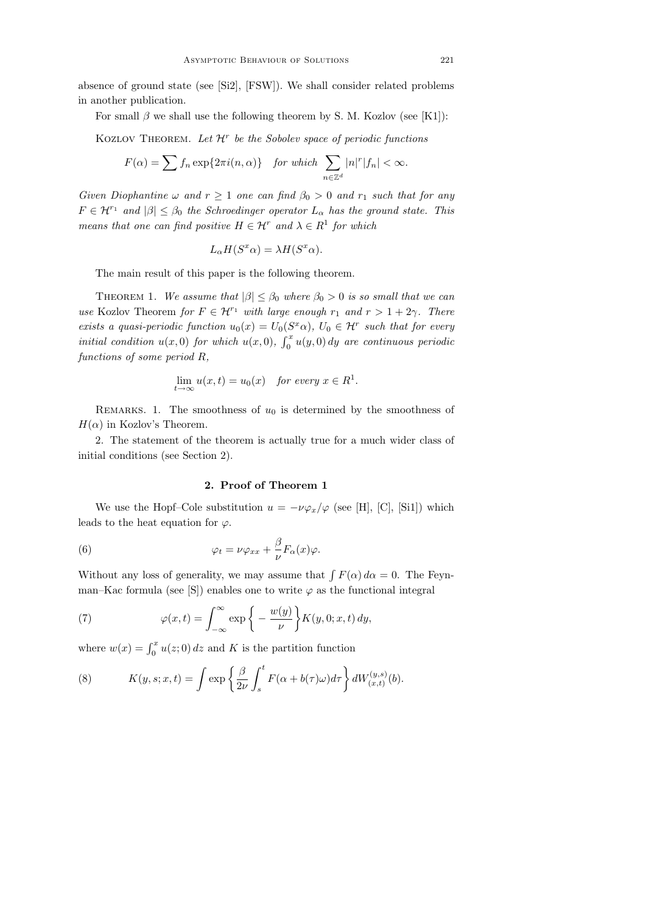absence of ground state (see [Si2], [FSW]). We shall consider related problems in another publication.

For small  $\beta$  we shall use the following theorem by S. M. Kozlov (see [K1]):

KOZLOV THEOREM. Let  $\mathcal{H}^r$  be the Sobolev space of periodic functions

$$
F(\alpha) = \sum f_n \exp\{2\pi i(n,\alpha)\} \quad \text{for which} \quad \sum_{n \in \mathbb{Z}^d} |n|^r |f_n| < \infty.
$$

Given Diophantine  $\omega$  and  $r \geq 1$  one can find  $\beta_0 > 0$  and  $r_1$  such that for any  $F \in \mathcal{H}^{r_1}$  and  $|\beta| \leq \beta_0$  the Schroedinger operator  $L_{\alpha}$  has the ground state. This means that one can find positive  $H \in \mathcal{H}^r$  and  $\lambda \in R^1$  for which

$$
L_{\alpha}H(S^x\alpha) = \lambda H(S^x\alpha).
$$

The main result of this paper is the following theorem.

THEOREM 1. We assume that  $|\beta| \leq \beta_0$  where  $\beta_0 > 0$  is so small that we can use Kozlov Theorem for  $F \in \mathcal{H}^{r_1}$  with large enough  $r_1$  and  $r > 1 + 2\gamma$ . There exists a quasi-periodic function  $u_0(x) = U_0(S^x\alpha)$ ,  $U_0 \in \mathcal{H}^r$  such that for every initial condition  $u(x, 0)$  for which  $u(x, 0)$ ,  $\int_0^x u(y, 0) dy$  are continuous periodic functions of some period R,

$$
\lim_{t \to \infty} u(x, t) = u_0(x) \quad \text{for every } x \in R^1.
$$

REMARKS. 1. The smoothness of  $u_0$  is determined by the smoothness of  $H(\alpha)$  in Kozlov's Theorem.

2. The statement of the theorem is actually true for a much wider class of initial conditions (see Section 2).

## 2. Proof of Theorem 1

We use the Hopf–Cole substitution  $u = -\nu \varphi_x/\varphi$  (see [H], [C], [Si1]) which leads to the heat equation for  $\varphi$ .

(6) 
$$
\varphi_t = \nu \varphi_{xx} + \frac{\beta}{\nu} F_\alpha(x) \varphi.
$$

Without any loss of generality, we may assume that  $\int F(\alpha) d\alpha = 0$ . The Feynman–Kac formula (see [S]) enables one to write  $\varphi$  as the functional integral

(7) 
$$
\varphi(x,t) = \int_{-\infty}^{\infty} \exp\left\{-\frac{w(y)}{\nu}\right\} K(y,0;x,t) dy,
$$

where  $w(x) = \int_0^x u(z; 0) dz$  and K is the partition function

(8) 
$$
K(y,s;x,t) = \int \exp\left\{\frac{\beta}{2\nu} \int_s^t F(\alpha + b(\tau)\omega) d\tau\right\} dW_{(x,t)}^{(y,s)}(b).
$$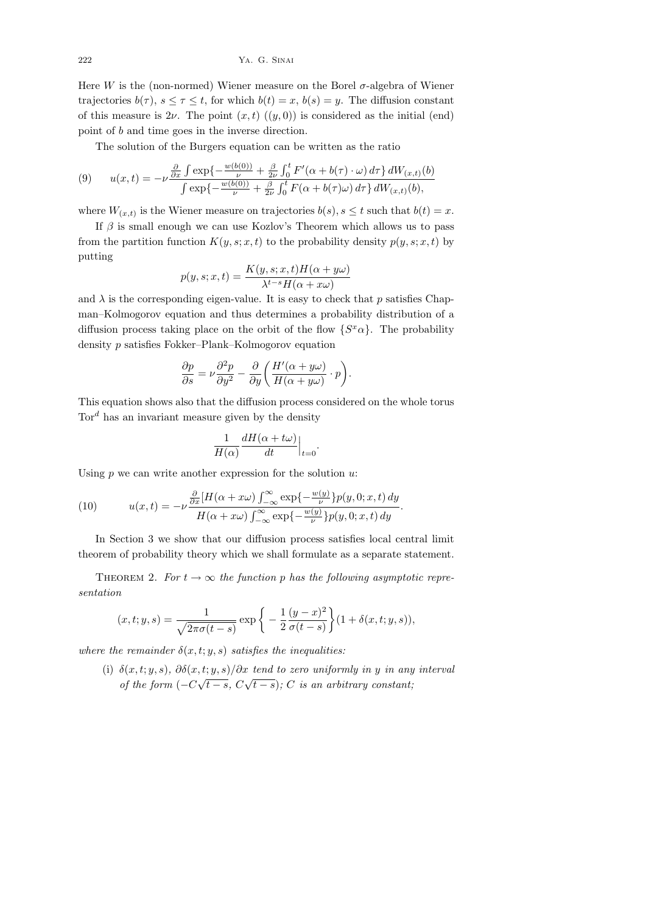222 Ya. G. Sinai

Here W is the (non-normed) Wiener measure on the Borel  $\sigma$ -algebra of Wiener trajectories  $b(\tau)$ ,  $s \leq \tau \leq t$ , for which  $b(t) = x$ ,  $b(s) = y$ . The diffusion constant of this measure is  $2\nu$ . The point  $(x, t)$   $((y, 0))$  is considered as the initial (end) point of b and time goes in the inverse direction.

The solution of the Burgers equation can be written as the ratio

(9) 
$$
u(x,t) = -\nu \frac{\frac{\partial}{\partial x} \int \exp\{-\frac{w(b(0))}{\nu} + \frac{\beta}{2\nu} \int_0^t F'(\alpha + b(\tau) \cdot \omega) d\tau\} dW_{(x,t)}(b)}{\int \exp\{-\frac{w(b(0))}{\nu} + \frac{\beta}{2\nu} \int_0^t F(\alpha + b(\tau)\omega) d\tau\} dW_{(x,t)}(b)},
$$

where  $W_{(x,t)}$  is the Wiener measure on trajectories  $b(s)$ ,  $s \le t$  such that  $b(t) = x$ .

If  $\beta$  is small enough we can use Kozlov's Theorem which allows us to pass from the partition function  $K(y, s; x, t)$  to the probability density  $p(y, s; x, t)$  by putting

$$
p(y, s; x, t) = \frac{K(y, s; x, t)H(\alpha + y\omega)}{\lambda^{t-s}H(\alpha + x\omega)}
$$

and  $\lambda$  is the corresponding eigen-value. It is easy to check that p satisfies Chapman–Kolmogorov equation and thus determines a probability distribution of a diffusion process taking place on the orbit of the flow  $\{S^x\alpha\}$ . The probability density p satisfies Fokker–Plank–Kolmogorov equation

$$
\frac{\partial p}{\partial s} = \nu \frac{\partial^2 p}{\partial y^2} - \frac{\partial}{\partial y} \left( \frac{H'(\alpha + y\omega)}{H(\alpha + y\omega)} \cdot p \right).
$$

This equation shows also that the diffusion process considered on the whole torus  $Tor<sup>d</sup>$  has an invariant measure given by the density

$$
\frac{1}{H(\alpha)}\frac{dH(\alpha+t\omega)}{dt}\Big|_{t=0}.
$$

Using  $p$  we can write another expression for the solution  $u$ :

(10) 
$$
u(x,t) = -\nu \frac{\frac{\partial}{\partial x} [H(\alpha + x\omega)]_{-\infty}^{\infty} \exp\{-\frac{w(y)}{\nu}\} p(y,0;x,t) dy}{H(\alpha + x\omega) \int_{-\infty}^{\infty} \exp\{-\frac{w(y)}{\nu}\} p(y,0;x,t) dy}.
$$

In Section 3 we show that our diffusion process satisfies local central limit theorem of probability theory which we shall formulate as a separate statement.

THEOREM 2. For  $t \to \infty$  the function p has the following asymptotic representation

$$
(x,t;y,s) = \frac{1}{\sqrt{2\pi\sigma(t-s)}} \exp\bigg\{-\frac{1}{2}\frac{(y-x)^2}{\sigma(t-s)}\bigg\}(1+\delta(x,t;y,s)),
$$

where the remainder  $\delta(x, t; y, s)$  satisfies the inequalities:

(i)  $\delta(x, t; y, s)$ ,  $\partial \delta(x, t; y, s)/\partial x$  tend to zero uniformly in y in any interval of the form  $(-C\sqrt{t-s}, C\sqrt{t-s})$ ; C is an arbitrary constant;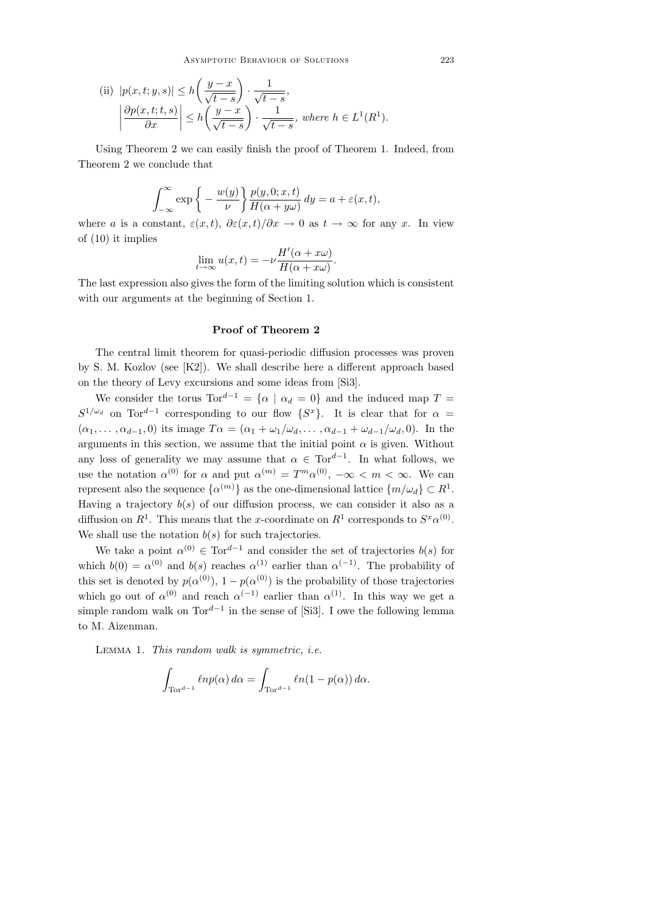(ii) 
$$
|p(x, t; y, s)| \le h\left(\frac{y-x}{\sqrt{t-s}}\right) \cdot \frac{1}{\sqrt{t-s}},
$$
  

$$
\left|\frac{\partial p(x, t; t, s)}{\partial x}\right| \le h\left(\frac{y-x}{\sqrt{t-s}}\right) \cdot \frac{1}{\sqrt{t-s}}, \text{ where } h \in L^1(R^1).
$$

Using Theorem 2 we can easily finish the proof of Theorem 1. Indeed, from Theorem 2 we conclude that

$$
\int_{-\infty}^{\infty} \exp\bigg\{-\frac{w(y)}{\nu}\bigg\} \frac{p(y,0;x,t)}{H(\alpha+y\omega)} dy = a + \varepsilon(x,t),
$$

where a is a constant,  $\varepsilon(x,t)$ ,  $\partial \varepsilon(x,t)/\partial x \to 0$  as  $t \to \infty$  for any x. In view of (10) it implies

$$
\lim_{t \to \infty} u(x, t) = -\nu \frac{H'(\alpha + x\omega)}{H(\alpha + x\omega)}.
$$

The last expression also gives the form of the limiting solution which is consistent with our arguments at the beginning of Section 1.

## Proof of Theorem 2

The central limit theorem for quasi-periodic diffusion processes was proven by S. M. Kozlov (see [K2]). We shall describe here a different approach based on the theory of Levy excursions and some ideas from [Si3].

We consider the torus  $\text{Tor}^{d-1} = \{ \alpha \mid \alpha_d = 0 \}$  and the induced map  $T =$  $S^{1/\omega_d}$  on Tor<sup>d-1</sup> corresponding to our flow  $\{S^x\}$ . It is clear that for  $\alpha =$  $(\alpha_1, \ldots, \alpha_{d-1}, 0)$  its image  $T\alpha = (\alpha_1 + \omega_1/\omega_d, \ldots, \alpha_{d-1} + \omega_{d-1}/\omega_d, 0)$ . In the arguments in this section, we assume that the initial point  $\alpha$  is given. Without any loss of generality we may assume that  $\alpha \in \text{Tor}^{d-1}$ . In what follows, we use the notation  $\alpha^{(0)}$  for  $\alpha$  and put  $\alpha^{(m)} = T^m \alpha^{(0)}$ ,  $-\infty < m < \infty$ . We can represent also the sequence  $\{\alpha^{(m)}\}$  as the one-dimensional lattice  $\{m/\omega_d\} \subset R^1$ . Having a trajectory  $b(s)$  of our diffusion process, we can consider it also as a diffusion on  $R^1$ . This means that the x-coordinate on  $R^1$  corresponds to  $S^x\alpha^{(0)}$ . We shall use the notation  $b(s)$  for such trajectories.

We take a point  $\alpha^{(0)} \in \text{Tor}^{d-1}$  and consider the set of trajectories  $b(s)$  for which  $b(0) = \alpha^{(0)}$  and  $b(s)$  reaches  $\alpha^{(1)}$  earlier than  $\alpha^{(-1)}$ . The probability of this set is denoted by  $p(\alpha^{(0)})$ ,  $1-p(\alpha^{(0)})$  is the probability of those trajectories which go out of  $\alpha^{(0)}$  and reach  $\alpha^{(-1)}$  earlier than  $\alpha^{(1)}$ . In this way we get a simple random walk on  $Tor^{d-1}$  in the sense of [Si3]. I owe the following lemma to M. Aizenman.

Lemma 1. This random walk is symmetric, i.e.

$$
\int_{\text{Tor}^{d-1}} \ell np(\alpha) \, d\alpha = \int_{\text{Tor}^{d-1}} \ell n(1 - p(\alpha)) \, d\alpha.
$$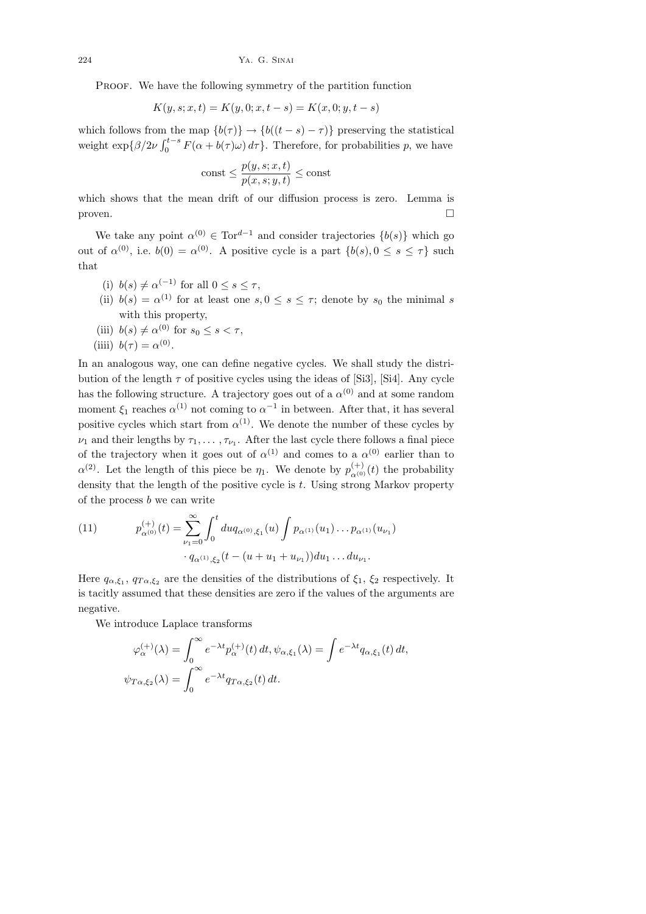PROOF. We have the following symmetry of the partition function

$$
K(y, s; x, t) = K(y, 0; x, t - s) = K(x, 0; y, t - s)
$$

which follows from the map  ${b(\tau)} \rightarrow {b((t - s) - \tau)}$  preserving the statistical weight  $\exp{\{\beta/2\nu\int_0^{t-s} F(\alpha + b(\tau)\omega) d\tau\}}$ . Therefore, for probabilities p, we have

$$
const \leq \frac{p(y, s; x, t)}{p(x, s; y, t)} \leq const
$$

which shows that the mean drift of our diffusion process is zero. Lemma is  $\Box$ 

We take any point  $\alpha^{(0)} \in \text{Tor}^{d-1}$  and consider trajectories  $\{b(s)\}\$  which go out of  $\alpha^{(0)}$ , i.e.  $b(0) = \alpha^{(0)}$ . A positive cycle is a part  $\{b(s), 0 \le s \le \tau\}$  such that

- (i)  $b(s) \neq \alpha^{(-1)}$  for all  $0 \leq s \leq \tau$ ,
- (ii)  $b(s) = \alpha^{(1)}$  for at least one  $s, 0 \le s \le \tau$ ; denote by  $s_0$  the minimal s with this property,
- (iii)  $b(s) \neq \alpha^{(0)}$  for  $s_0 \leq s < \tau$ ,
- (iiii)  $b(\tau) = \alpha^{(0)}$ .

In an analogous way, one can define negative cycles. We shall study the distribution of the length  $\tau$  of positive cycles using the ideas of [Si3], [Si4]. Any cycle has the following structure. A trajectory goes out of a  $\alpha^{(0)}$  and at some random moment  $\xi_1$  reaches  $\alpha^{(1)}$  not coming to  $\alpha^{-1}$  in between. After that, it has several positive cycles which start from  $\alpha^{(1)}$ . We denote the number of these cycles by  $\nu_1$  and their lengths by  $\tau_1, \ldots, \tau_{\nu_1}$ . After the last cycle there follows a final piece of the trajectory when it goes out of  $\alpha^{(1)}$  and comes to a  $\alpha^{(0)}$  earlier than to  $\alpha^{(2)}$ . Let the length of this piece be  $\eta_1$ . We denote by  $p_{\alpha^{(0)}}^{(+)}(t)$  the probability density that the length of the positive cycle is  $t$ . Using strong Markov property of the process  $b$  we can write

(11) 
$$
p_{\alpha^{(0)}}^{(+)}(t) = \sum_{\nu_1=0}^{\infty} \int_0^t du q_{\alpha^{(0)},\xi_1}(u) \int p_{\alpha^{(1)}}(u_1) \dots p_{\alpha^{(1)}}(u_{\nu_1})
$$

$$
\cdot q_{\alpha^{(1)},\xi_2}(t - (u + u_1 + u_{\nu_1})) du_1 \dots du_{\nu_1}.
$$

Here  $q_{\alpha,\xi_1}$ ,  $q_{T\alpha,\xi_2}$  are the densities of the distributions of  $\xi_1$ ,  $\xi_2$  respectively. It is tacitly assumed that these densities are zero if the values of the arguments are negative.

We introduce Laplace transforms

$$
\varphi_{\alpha}^{(+)}(\lambda) = \int_0^{\infty} e^{-\lambda t} p_{\alpha}^{(+)}(t) dt, \psi_{\alpha,\xi_1}(\lambda) = \int e^{-\lambda t} q_{\alpha,\xi_1}(t) dt,
$$
  

$$
\psi_{T\alpha,\xi_2}(\lambda) = \int_0^{\infty} e^{-\lambda t} q_{T\alpha,\xi_2}(t) dt.
$$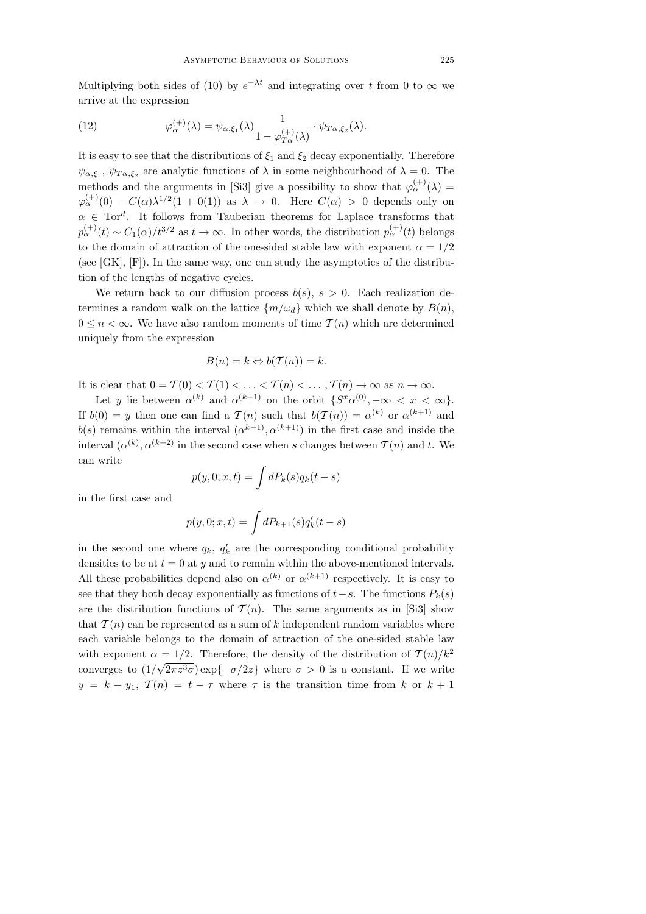Multiplying both sides of (10) by  $e^{-\lambda t}$  and integrating over t from 0 to  $\infty$  we arrive at the expression

(12) 
$$
\varphi_{\alpha}^{(+)}(\lambda) = \psi_{\alpha,\xi_1}(\lambda) \frac{1}{1 - \varphi_{T_{\alpha}}^{(+)}(\lambda)} \cdot \psi_{T_{\alpha,\xi_2}}(\lambda).
$$

It is easy to see that the distributions of  $\xi_1$  and  $\xi_2$  decay exponentially. Therefore  $\psi_{\alpha,\xi_1}, \psi_{T\alpha,\xi_2}$  are analytic functions of  $\lambda$  in some neighbourhood of  $\lambda = 0$ . The methods and the arguments in [Si3] give a possibility to show that  $\varphi_{\alpha}^{(+)}(\lambda) =$  $\varphi_\alpha^{(+)}(0) - C(\alpha)\lambda^{1/2}(1+0(1))$  as  $\lambda \to 0$ . Here  $C(\alpha) > 0$  depends only on  $\alpha \in \text{Tor}^d$ . It follows from Tauberian theorems for Laplace transforms that  $p_{\alpha}^{(+)}(t) \sim C_1(\alpha)/t^{3/2}$  as  $t \to \infty$ . In other words, the distribution  $p_{\alpha}^{(+)}(t)$  belongs to the domain of attraction of the one-sided stable law with exponent  $\alpha = 1/2$ (see [GK], [F]). In the same way, one can study the asymptotics of the distribution of the lengths of negative cycles.

We return back to our diffusion process  $b(s)$ ,  $s > 0$ . Each realization determines a random walk on the lattice  $\{m/\omega_d\}$  which we shall denote by  $B(n)$ ,  $0 \leq n \leq \infty$ . We have also random moments of time  $\mathcal{T}(n)$  which are determined uniquely from the expression

$$
B(n) = k \Leftrightarrow b(\mathcal{T}(n)) = k.
$$

It is clear that  $0 = \mathcal{T}(0) < \mathcal{T}(1) < \ldots < \mathcal{T}(n) < \ldots, \mathcal{T}(n) \to \infty$  as  $n \to \infty$ .

Let y lie between  $\alpha^{(k)}$  and  $\alpha^{(k+1)}$  on the orbit  $\{S^x\alpha^{(0)}, -\infty < x < \infty\}.$ If  $b(0) = y$  then one can find a  $\mathcal{T}(n)$  such that  $b(\mathcal{T}(n)) = \alpha^{(k)}$  or  $\alpha^{(k+1)}$  and  $b(s)$  remains within the interval  $(\alpha^{k-1}, \alpha^{(k+1)})$  in the first case and inside the interval  $(\alpha^{(k)}, \alpha^{(k+2)}$  in the second case when s changes between  $\mathcal{T}(n)$  and t. We can write

$$
p(y,0;x,t) = \int dP_k(s)q_k(t-s)
$$

in the first case and

$$
p(y, 0; x, t) = \int dP_{k+1}(s) q'_k(t - s)
$$

in the second one where  $q_k$ ,  $q'_k$  are the corresponding conditional probability densities to be at  $t = 0$  at y and to remain within the above-mentioned intervals. All these probabilities depend also on  $\alpha^{(k)}$  or  $\alpha^{(k+1)}$  respectively. It is easy to see that they both decay exponentially as functions of  $t-s$ . The functions  $P_k(s)$ are the distribution functions of  $\mathcal{T}(n)$ . The same arguments as in [Si3] show that  $\mathcal{T}(n)$  can be represented as a sum of k independent random variables where each variable belongs to the domain of attraction of the one-sided stable law with exponent  $\alpha = 1/2$ . Therefore, the density of the distribution of  $T(n)/k^2$ converges to  $(1/\sqrt{2\pi z^3}\sigma) \exp\{-\sigma/2z\}$  where  $\sigma > 0$  is a constant. If we write  $y = k + y_1$ ,  $\mathcal{T}(n) = t - \tau$  where  $\tau$  is the transition time from k or  $k + 1$